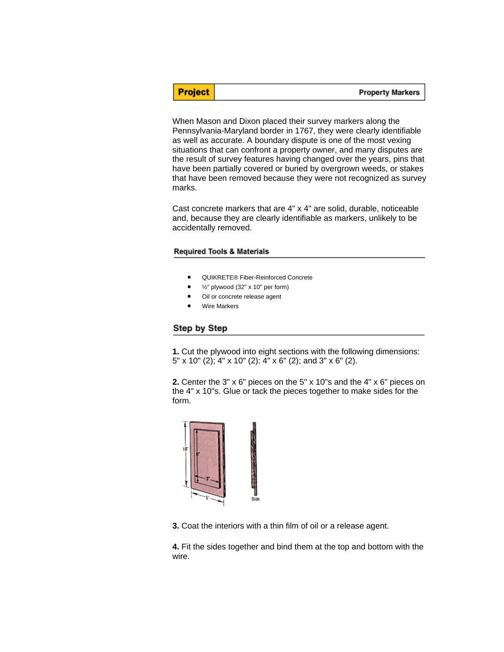**Property Markers** 

When Mason and Dixon placed their survey markers along the Pennsylvania-Maryland border in 1767, they were clearly identifiable as well as accurate. A boundary dispute is one of the most vexing situations that can confront a property owner, and many disputes are the result of survey features having changed over the years, pins that have been partially covered or buried by overgrown weeds, or stakes that have been removed because they were not recognized as survey marks.

Cast concrete markers that are 4" x 4" are solid, durable, noticeable and, because they are clearly identifiable as markers, unlikely to be accidentally removed.

## **Required Tools & Materials**

- QUIKRETE® Fiber-Reinforced Concrete
- $\frac{1}{2}$ " plywood (32" x 10" per form)
- Oil or concrete release agent
- Wire Markers

## Step by Step

**Project** 

**1.** Cut the plywood into eight sections with the following dimensions: 5" x 10" (2); 4" x 10" (2); 4" x 6" (2); and 3" x 6" (2).

**2.** Center the 3" x 6" pieces on the 5" x 10"s and the 4" x 6" pieces on the 4" x 10"s. Glue or tack the pieces together to make sides for the form.



**3.** Coat the interiors with a thin film of oil or a release agent.

**4.** Fit the sides together and bind them at the top and bottom with the wire.